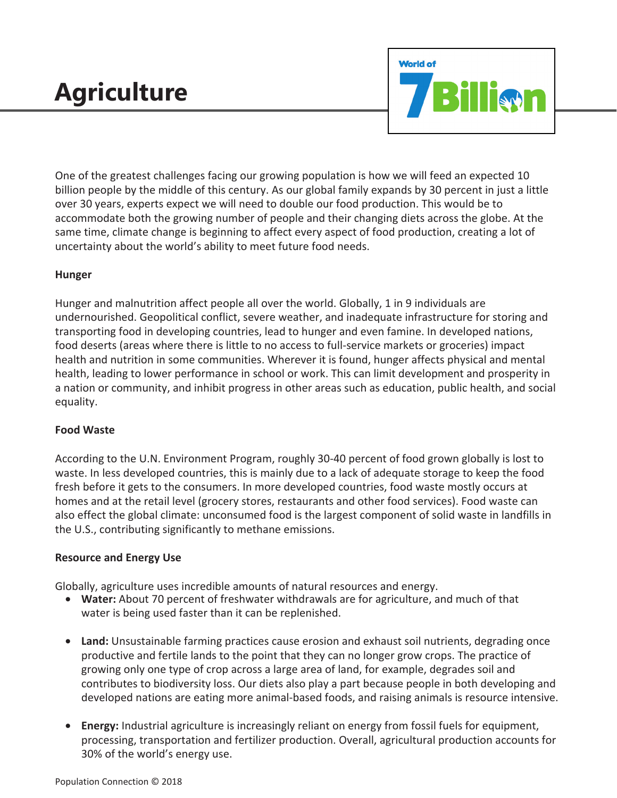# **Agriculture**



One of the greatest challenges facing our growing population is how we will feed an expected 10 billion people by the middle of this century. As our global family expands by 30 percent in just a little over 30 years, experts expect we will need to double our food production. This would be to accommodate both the growing number of people and their changing diets across the globe. At the same time, climate change is beginning to affect every aspect of food production, creating a lot of uncertainty about the world's ability to meet future food needs.

### **Hunger**

Hunger and malnutrition affect people all over the world. Globally, 1 in 9 individuals are undernourished. Geopolitical conflict, severe weather, and inadequate infrastructure for storing and transporting food in developing countries, lead to hunger and even famine. In developed nations, food deserts (areas where there is little to no access to full-service markets or groceries) impact health and nutrition in some communities. Wherever it is found, hunger affects physical and mental health, leading to lower performance in school or work. This can limit development and prosperity in a nation or community, and inhibit progress in other areas such as education, public health, and social equality.

## **Food Waste**

According to the U.N. Environment Program, roughly 30-40 percent of food grown globally is lost to waste. In less developed countries, this is mainly due to a lack of adequate storage to keep the food fresh before it gets to the consumers. In more developed countries, food waste mostly occurs at homes and at the retail level (grocery stores, restaurants and other food services). Food waste can also effect the global climate: unconsumed food is the largest component of solid waste in landfills in the U.S., contributing significantly to methane emissions.

#### **Resource and Energy Use**

Globally, agriculture uses incredible amounts of natural resources and energy.

- **Water:** About 70 percent of freshwater withdrawals are for agriculture, and much of that water is being used faster than it can be replenished.
- **Land:** Unsustainable farming practices cause erosion and exhaust soil nutrients, degrading once productive and fertile lands to the point that they can no longer grow crops. The practice of growing only one type of crop across a large area of land, for example, degrades soil and contributes to biodiversity loss. Our diets also play a part because people in both developing and developed nations are eating more animal-based foods, and raising animals is resource intensive.
- **Energy:** Industrial agriculture is increasingly reliant on energy from fossil fuels for equipment, processing, transportation and fertilizer production. Overall, agricultural production accounts for 30% of the world's energy use.